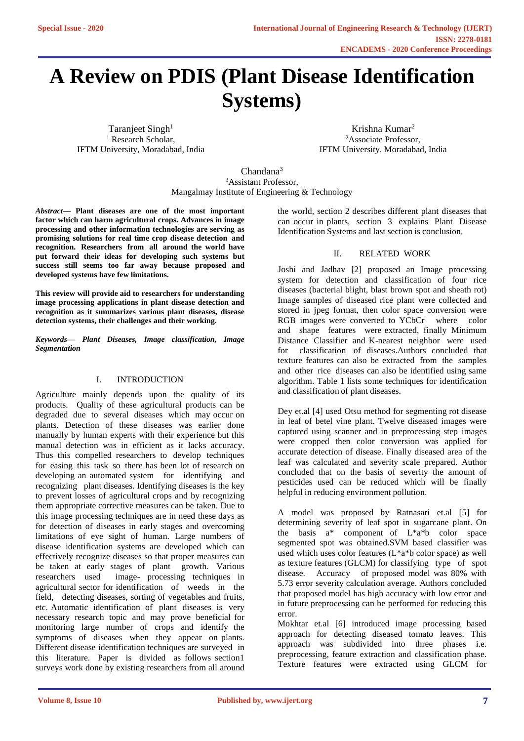# **A Review on PDIS (Plant Disease Identification Systems)**

Taranjeet Singh<sup>1</sup> <sup>1</sup> Research Scholar, IFTM University, Moradabad, India

Krishna Kumar 2 <sup>2</sup>Associate Professor, IFTM University. Moradabad, India

Chandana 3 <sup>3</sup>Assistant Professor, Mangalmay Institute of Engineering & Technology

*Abstract***— Plant diseases are one of the most important factor which can harm agricultural crops. Advances in image processing and other information technologies are serving as promising solutions for real time crop disease detection and recognition. Researchers from all around the world have put forward their ideas for developing such systems but success still seems too far away because proposed and developed systems have few limitations.**

**This review will provide aid to researchers for understanding image processing applications in plant disease detection and recognition as it summarizes various plant diseases, disease detection systems, their challenges and their working.**

*Keywords— Plant Diseases, Image classification, Image Segmentation*

## I. INTRODUCTION

Agriculture mainly depends upon the quality of its products. Quality of these agricultural products can be degraded due to several diseases which may occur on plants. Detection of these diseases was earlier done manually by human experts with their experience but this manual detection was in efficient as it lacks accuracy. Thus this compelled researchers to develop techniques for easing this task so there has been lot of research on developing an automated system for identifying and recognizing plant diseases. Identifying diseases is the key to prevent losses of agricultural crops and by recognizing them appropriate corrective measures can be taken. Due to this image processing techniques are in need these days as for detection of diseases in early stages and overcoming limitations of eye sight of human. Large numbers of disease identification systems are developed which can effectively recognize diseases so that proper measures can be taken at early stages of plant growth. Various researchers used image- processing techniques in agricultural sector for identification of weeds in the field, detecting diseases, sorting of vegetables and fruits, etc. Automatic identification of plant diseases is very necessary research topic and may prove beneficial for monitoring large number of crops and identify the symptoms of diseases when they appear on plants. Different disease identification techniques are surveyed in this literature. Paper is divided as follows section1 surveys work done by existing researchers from all around

the world, section 2 describes different plant diseases that can occur in plants, section 3 explains Plant Disease Identification Systems and last section is conclusion.

## II. RELATED WORK

Joshi and Jadhav [2] proposed an Image processing system for detection and classification of four rice diseases (bacterial blight, blast brown spot and sheath rot) Image samples of diseased rice plant were collected and stored in jpeg format, then color space conversion were RGB images were converted to YCbCr where color and shape features were extracted, finally Minimum Distance Classifier and K-nearest neighbor were used for classification of diseases.Authors concluded that texture features can also be extracted from the samples and other rice diseases can also be identified using same algorithm. Table 1 lists some techniques for identification and classification of plant diseases.

Dey et.al [4] used Otsu method for segmenting rot disease in leaf of betel vine plant. Twelve diseased images were captured using scanner and in preprocessing step images were cropped then color conversion was applied for accurate detection of disease. Finally diseased area of the leaf was calculated and severity scale prepared. Author concluded that on the basis of severity the amount of pesticides used can be reduced which will be finally helpful in reducing environment pollution.

A model was proposed by Ratnasari et.al [5] for determining severity of leaf spot in sugarcane plant. On the basis a\* component of L\*a\*b color space segmented spot was obtained.SVM based classifier was used which uses color features (L\*a\*b color space) as well as texture features (GLCM) for classifying type of spot disease. Accuracy of proposed model was 80% with 5.73 error severity calculation average. Authors concluded that proposed model has high accuracy with low error and in future preprocessing can be performed for reducing this error.

Mokhtar et.al [6] introduced image processing based approach for detecting diseased tomato leaves. This approach was subdivided into three phases i.e. preprocessing, feature extraction and classification phase. Texture features were extracted using GLCM for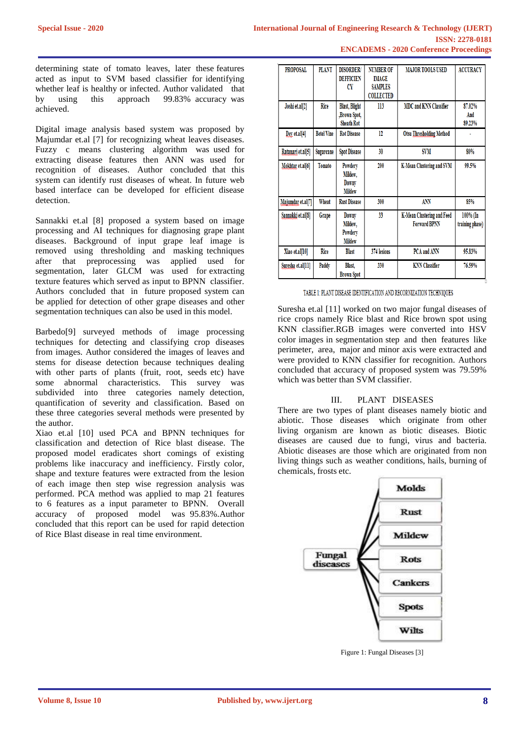determining state of tomato leaves, later these features acted as input to SVM based classifier for identifying whether leaf is healthy or infected. Author validated that by using this approach 99.83% accuracy was achieved.

Digital image analysis based system was proposed by Majumdar et.al [7] for recognizing wheat leaves diseases. Fuzzy c means clustering algorithm was used for extracting disease features then ANN was used for recognition of diseases. Author concluded that this system can identify rust diseases of wheat. In future web based interface can be developed for efficient disease detection.

Sannakki et.al [8] proposed a system based on image processing and AI techniques for diagnosing grape plant diseases. Background of input grape leaf image is removed using thresholding and masking techniques after that preprocessing was applied used for segmentation, later GLCM was used for extracting texture features which served as input to BPNN classifier. Authors concluded that in future proposed system can be applied for detection of other grape diseases and other segmentation techniques can also be used in this model.

Barbedo[9] surveyed methods of image processing techniques for detecting and classifying crop diseases from images. Author considered the images of leaves and stems for disease detection because techniques dealing with other parts of plants (fruit, root, seeds etc) have some abnormal characteristics. This survey was subdivided into three categories namely detection, quantification of severity and classification. Based on these three categories several methods were presented by the author.

Xiao et.al [10] used PCA and BPNN techniques for classification and detection of Rice blast disease. The proposed model eradicates short comings of existing problems like inaccuracy and inefficiency. Firstly color, shape and texture features were extracted from the lesion of each image then step wise regression analysis was performed. PCA method was applied to map 21 features to 6 features as a input parameter to BPNN. Overall accuracy of proposed model was 95.83%.Author concluded that this report can be used for rapid detection of Rice Blast disease in real time environment.

| <b>PROPOSAL</b>   | <b>PLANT</b>      | <b>DISORDER/</b><br><b>DEFFICIEN</b><br>CY                | <b>NUMBER OF</b><br><b>IMAGE</b><br><b>SAMPLES</b><br><b>COLLECTED</b> | <b>MAJOR TOOLS USED</b>                           | <b>ACCURACY</b>             |
|-------------------|-------------------|-----------------------------------------------------------|------------------------------------------------------------------------|---------------------------------------------------|-----------------------------|
| Joshi et.al[2]    | <b>Rice</b>       | <b>Blast, Blight</b><br>,Brown Spot,<br><b>Sheath Rot</b> | 113                                                                    | <b>MDC and KNN Classifier</b>                     | 87.02%<br>And<br>89.23%     |
| Dev et.al[4]      | <b>Betel Vine</b> | <b>Rot Disease</b>                                        | 12                                                                     | <b>Otsu Thresholding Method</b>                   |                             |
| Ratanari et.al[5] | Sugarcane         | <b>Spot Disease</b>                                       | 30                                                                     | SVM                                               | 80%                         |
| Mokhtar et.al[6]  | <b>Tomato</b>     | Powdery<br>Mildew,<br>Downy<br><b>Mildew</b>              | 200                                                                    | <b>K-Mean Clustering and SVM</b>                  | 99.5%                       |
| Majumdar et.al[7] | Wheat             | <b>Rust Disease</b>                                       | 300                                                                    | <b>ANN</b>                                        | 85%                         |
| Sannakki et.al[8] | Grape             | Downy<br>Mildew,<br>Powdery<br><b>Mildew</b>              | 33                                                                     | K-Mean Clustering and Feed<br><b>Forward BPNN</b> | 100% (In<br>training phase) |
| Xiao et.al[10]    | <b>Rice</b>       | <b>Blast</b>                                              | 374 lesions                                                            | PCA and ANN                                       | 95.83%                      |
| Suresha et.al[11] | Paddy             | Blast,<br><b>Brown Spot</b>                               | 330                                                                    | <b>KNN</b> Classifier                             | 76.59%                      |

## TABLE 1: PLANT DISEASE IDENTIFICATION AND RECORNIZATION TECHNIQUES

Suresha et.al [11] worked on two major fungal diseases of rice crops namely Rice blast and Rice brown spot using KNN classifier.RGB images were converted into HSV color images in segmentation step and then features like perimeter, area, major and minor axis were extracted and were provided to KNN classifier for recognition. Authors concluded that accuracy of proposed system was 79.59% which was better than SVM classifier.

## III. PLANT DISEASES

There are two types of plant diseases namely biotic and abiotic. Those diseases which originate from other living organism are known as biotic diseases. Biotic diseases are caused due to fungi, virus and bacteria. Abiotic diseases are those which are originated from non living things such as weather conditions, hails, burning of chemicals, frosts etc.



Figure 1: Fungal Diseases [3]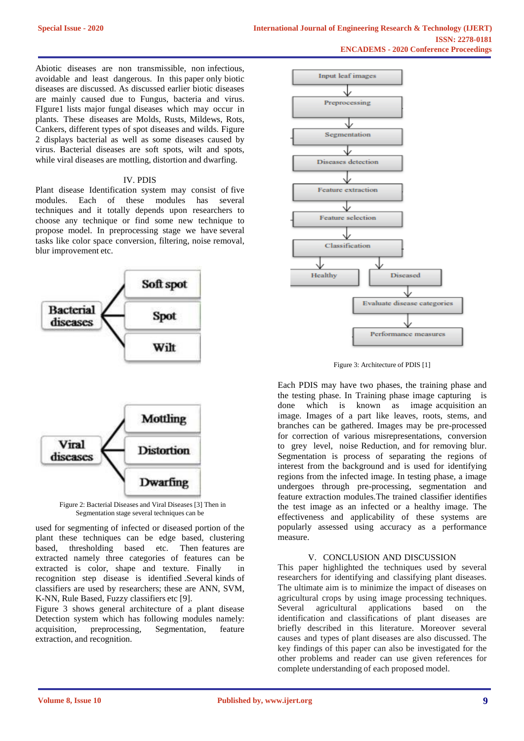Abiotic diseases are non transmissible, non infectious, avoidable and least dangerous. In this paper only biotic diseases are discussed. As discussed earlier biotic diseases are mainly caused due to Fungus, bacteria and virus. FIgure1 lists major fungal diseases which may occur in plants. These diseases are Molds, Rusts, Mildews, Rots, Cankers, different types of spot diseases and wilds. Figure 2 displays bacterial as well as some diseases caused by virus. Bacterial diseases are soft spots, wilt and spots, while viral diseases are mottling, distortion and dwarfing.

#### IV. PDIS

Plant disease Identification system may consist of five modules. Each of these modules has several techniques and it totally depends upon researchers to choose any technique or find some new technique to propose model. In preprocessing stage we have several tasks like color space conversion, filtering, noise removal, blur improvement etc.



Figure 2: Bacterial Diseases and Viral Diseases [3] Then in Segmentation stage several techniques can be

used for segmenting of infected or diseased portion of the plant these techniques can be edge based, clustering based, thresholding based etc. Then features are extracted namely three categories of features can be extracted is color, shape and texture. Finally in recognition step disease is identified .Several kinds of classifiers are used by researchers; these are ANN, SVM, K-NN, Rule Based, Fuzzy classifiers etc [9].

Figure 3 shows general architecture of a plant disease Detection system which has following modules namely: acquisition, preprocessing, Segmentation, feature extraction, and recognition.



Figure 3: Architecture of PDIS [1]

Each PDIS may have two phases, the training phase and the testing phase. In Training phase image capturing is done which is known as image acquisition an image. Images of a part like leaves, roots, stems, and branches can be gathered. Images may be pre-processed for correction of various misrepresentations, conversion to grey level, noise Reduction, and for removing blur. Segmentation is process of separating the regions of interest from the background and is used for identifying regions from the infected image. In testing phase, a image undergoes through pre-processing, segmentation and feature extraction modules.The trained classifier identifies the test image as an infected or a healthy image. The effectiveness and applicability of these systems are popularly assessed using accuracy as a performance measure.

## V. CONCLUSION AND DISCUSSION

This paper highlighted the techniques used by several researchers for identifying and classifying plant diseases. The ultimate aim is to minimize the impact of diseases on agricultural crops by using image processing techniques. Several agricultural applications based on the identification and classifications of plant diseases are briefly described in this literature. Moreover several causes and types of plant diseases are also discussed. The key findings of this paper can also be investigated for the other problems and reader can use given references for complete understanding of each proposed model.